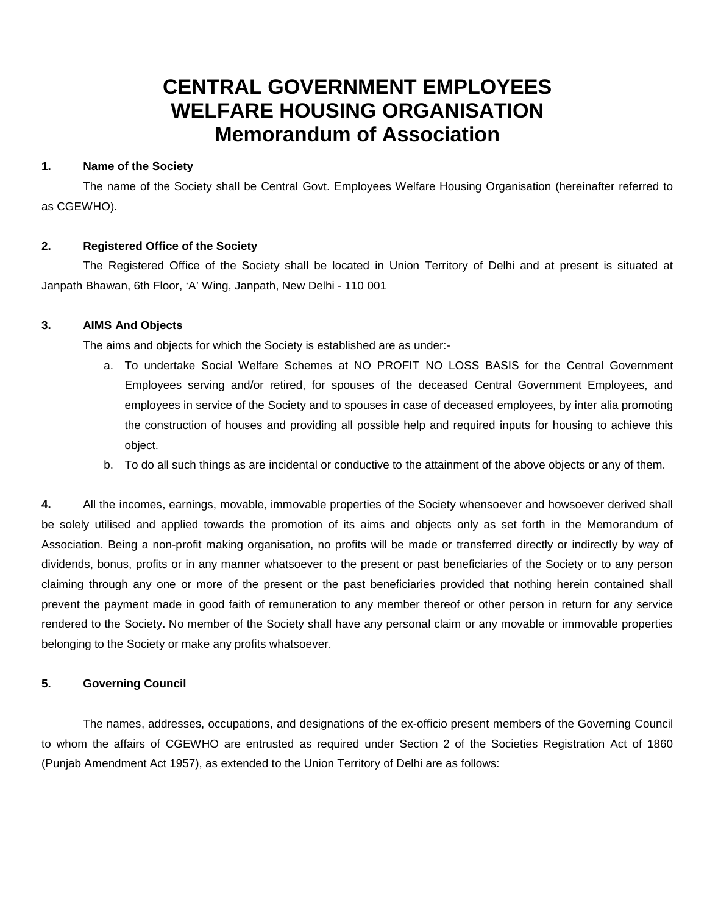# **CENTRAL GOVERNMENT EMPLOYEES WELFARE HOUSING ORGANISATION Memorandum of Association**

# **1. Name of the Society**

The name of the Society shall be Central Govt. Employees Welfare Housing Organisation (hereinafter referred to as CGEWHO).

# **2. Registered Office of the Society**

The Registered Office of the Society shall be located in Union Territory of Delhi and at present is situated at Janpath Bhawan, 6th Floor, 'A' Wing, Janpath, New Delhi - 110 001

# **3. AIMS And Objects**

The aims and objects for which the Society is established are as under:-

- a. To undertake Social Welfare Schemes at NO PROFIT NO LOSS BASIS for the Central Government Employees serving and/or retired, for spouses of the deceased Central Government Employees, and employees in service of the Society and to spouses in case of deceased employees, by inter alia promoting the construction of houses and providing all possible help and required inputs for housing to achieve this object.
- b. To do all such things as are incidental or conductive to the attainment of the above objects or any of them.

**4.** All the incomes, earnings, movable, immovable properties of the Society whensoever and howsoever derived shall be solely utilised and applied towards the promotion of its aims and objects only as set forth in the Memorandum of Association. Being a non-profit making organisation, no profits will be made or transferred directly or indirectly by way of dividends, bonus, profits or in any manner whatsoever to the present or past beneficiaries of the Society or to any person claiming through any one or more of the present or the past beneficiaries provided that nothing herein contained shall prevent the payment made in good faith of remuneration to any member thereof or other person in return for any service rendered to the Society. No member of the Society shall have any personal claim or any movable or immovable properties belonging to the Society or make any profits whatsoever.

# **5. Governing Council**

The names, addresses, occupations, and designations of the ex-officio present members of the Governing Council to whom the affairs of CGEWHO are entrusted as required under Section 2 of the Societies Registration Act of 1860 (Punjab Amendment Act 1957), as extended to the Union Territory of Delhi are as follows: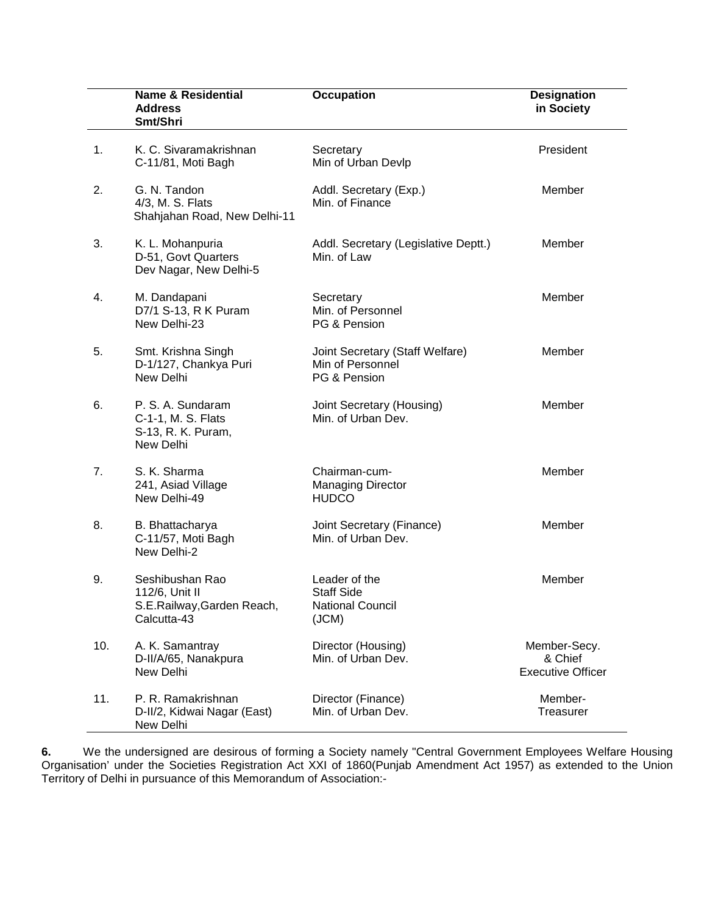|     | Name & Residential<br><b>Address</b><br>Smt/Shri                               | <b>Occupation</b>                                                      | <b>Designation</b><br>in Society                    |
|-----|--------------------------------------------------------------------------------|------------------------------------------------------------------------|-----------------------------------------------------|
| 1.  | K. C. Sivaramakrishnan<br>C-11/81, Moti Bagh                                   | Secretary<br>Min of Urban Devlp                                        | President                                           |
| 2.  | G. N. Tandon<br>4/3, M. S. Flats<br>Shahjahan Road, New Delhi-11               | Addl. Secretary (Exp.)<br>Min. of Finance                              | Member                                              |
| 3.  | K. L. Mohanpuria<br>D-51, Govt Quarters<br>Dev Nagar, New Delhi-5              | Addl. Secretary (Legislative Deptt.)<br>Min. of Law                    | Member                                              |
| 4.  | M. Dandapani<br>D7/1 S-13, R K Puram<br>New Delhi-23                           | Secretary<br>Min. of Personnel<br>PG & Pension                         | Member                                              |
| 5.  | Smt. Krishna Singh<br>D-1/127, Chankya Puri<br>New Delhi                       | Joint Secretary (Staff Welfare)<br>Min of Personnel<br>PG & Pension    | Member                                              |
| 6.  | P. S. A. Sundaram<br>C-1-1, M. S. Flats<br>S-13, R. K. Puram,<br>New Delhi     | Joint Secretary (Housing)<br>Min. of Urban Dev.                        | Member                                              |
| 7.  | S. K. Sharma<br>241, Asiad Village<br>New Delhi-49                             | Chairman-cum-<br><b>Managing Director</b><br><b>HUDCO</b>              | Member                                              |
| 8.  | B. Bhattacharya<br>C-11/57, Moti Bagh<br>New Delhi-2                           | Joint Secretary (Finance)<br>Min. of Urban Dev.                        | Member                                              |
| 9.  | Seshibushan Rao<br>112/6, Unit II<br>S.E.Railway, Garden Reach,<br>Calcutta-43 | Leader of the<br><b>Staff Side</b><br><b>National Council</b><br>(JCM) | Member                                              |
| 10. | A. K. Samantray<br>D-II/A/65, Nanakpura<br>New Delhi                           | Director (Housing)<br>Min. of Urban Dev.                               | Member-Secy.<br>& Chief<br><b>Executive Officer</b> |
| 11. | P. R. Ramakrishnan<br>D-II/2, Kidwai Nagar (East)<br>New Delhi                 | Director (Finance)<br>Min. of Urban Dev.                               | Member-<br>Treasurer                                |

**6.** We the undersigned are desirous of forming a Society namely "Central Government Employees Welfare Housing Organisation' under the Societies Registration Act XXI of 1860(Punjab Amendment Act 1957) as extended to the Union Territory of Delhi in pursuance of this Memorandum of Association:-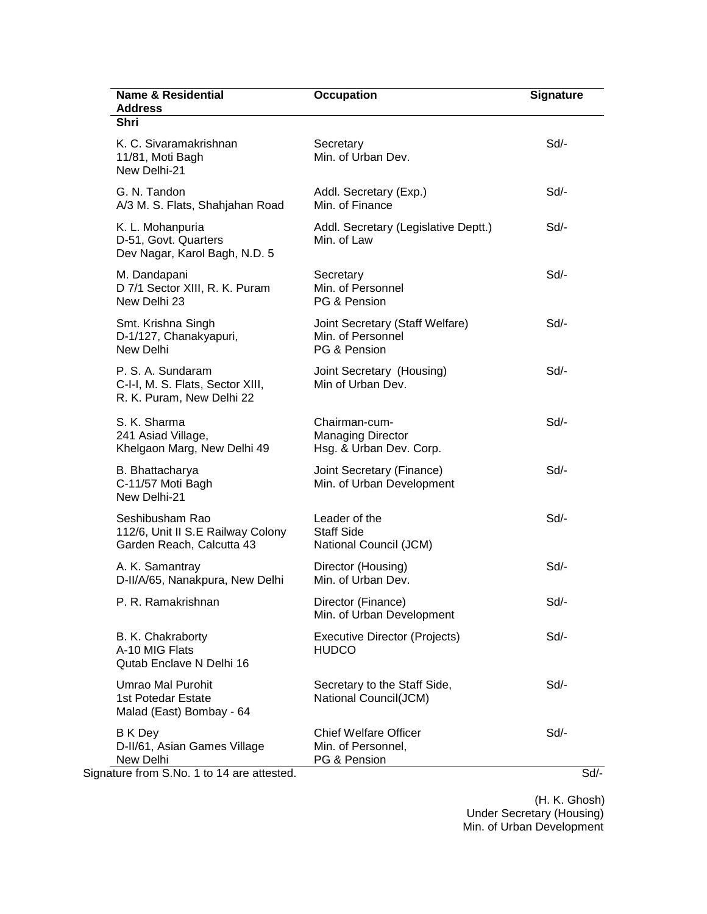| <b>Name &amp; Residential</b><br><b>Address</b>                                    | <b>Occupation</b>                                                    | <b>Signature</b> |
|------------------------------------------------------------------------------------|----------------------------------------------------------------------|------------------|
| Shri                                                                               |                                                                      |                  |
| K. C. Sivaramakrishnan<br>11/81, Moti Bagh<br>New Delhi-21                         | Secretary<br>Min. of Urban Dev.                                      | Sd               |
| G. N. Tandon<br>A/3 M. S. Flats, Shahjahan Road                                    | Addl. Secretary (Exp.)<br>Min. of Finance                            | Sd/-             |
| K. L. Mohanpuria<br>D-51, Govt. Quarters<br>Dev Nagar, Karol Bagh, N.D. 5          | Addl. Secretary (Legislative Deptt.)<br>Min. of Law                  | Sd/-             |
| M. Dandapani<br>D 7/1 Sector XIII, R. K. Puram<br>New Delhi 23                     | Secretary<br>Min. of Personnel<br>PG & Pension                       | Sd/-             |
| Smt. Krishna Singh<br>D-1/127, Chanakyapuri,<br>New Delhi                          | Joint Secretary (Staff Welfare)<br>Min. of Personnel<br>PG & Pension | Sd               |
| P. S. A. Sundaram<br>C-I-I, M. S. Flats, Sector XIII,<br>R. K. Puram, New Delhi 22 | Joint Secretary (Housing)<br>Min of Urban Dev.                       | Sd               |
| S. K. Sharma<br>241 Asiad Village,<br>Khelgaon Marg, New Delhi 49                  | Chairman-cum-<br><b>Managing Director</b><br>Hsg. & Urban Dev. Corp. | Sd/-             |
| B. Bhattacharya<br>C-11/57 Moti Bagh<br>New Delhi-21                               | Joint Secretary (Finance)<br>Min. of Urban Development               | Sd               |
| Seshibusham Rao<br>112/6, Unit II S.E Railway Colony<br>Garden Reach, Calcutta 43  | Leader of the<br><b>Staff Side</b><br>National Council (JCM)         | Sd               |
| A. K. Samantray<br>D-II/A/65, Nanakpura, New Delhi                                 | Director (Housing)<br>Min. of Urban Dev.                             | Sd               |
| P. R. Ramakrishnan                                                                 | Director (Finance)<br>Min. of Urban Development                      | Sd/-             |
| B. K. Chakraborty<br>A-10 MIG Flats<br>Qutab Enclave N Delhi 16                    | Executive Director (Projects)<br><b>HUDCO</b>                        | Sd/-             |
| Umrao Mal Purohit<br>1st Potedar Estate<br>Malad (East) Bombay - 64                | Secretary to the Staff Side,<br>National Council(JCM)                | Sd/-             |
| B K Dey<br>D-II/61, Asian Games Village<br>New Delhi                               | <b>Chief Welfare Officer</b><br>Min. of Personnel,<br>PG & Pension   | Sd/-             |

 (H. K. Ghosh) Under Secretary (Housing) Min. of Urban Development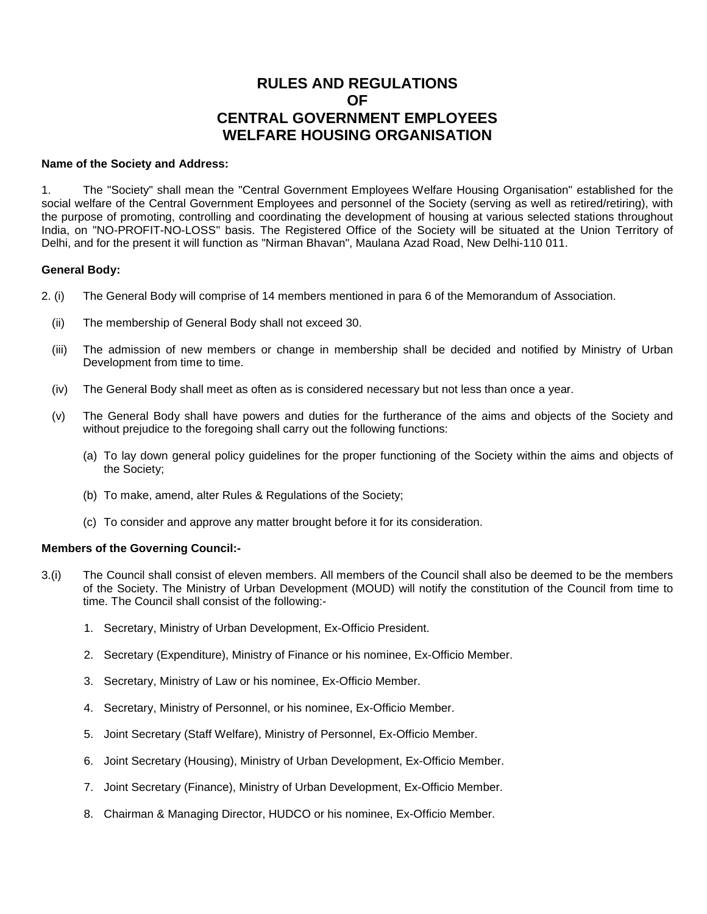# **RULES AND REGULATIONS OF CENTRAL GOVERNMENT EMPLOYEES WELFARE HOUSING ORGANISATION**

#### **Name of the Society and Address:**

1. The "Society" shall mean the "Central Government Employees Welfare Housing Organisation" established for the social welfare of the Central Government Employees and personnel of the Society (serving as well as retired/retiring), with the purpose of promoting, controlling and coordinating the development of housing at various selected stations throughout India, on "NO-PROFIT-NO-LOSS" basis. The Registered Office of the Society will be situated at the Union Territory of Delhi, and for the present it will function as "Nirman Bhavan", Maulana Azad Road, New Delhi-110 011.

# **General Body:**

- 2. (i) The General Body will comprise of 14 members mentioned in para 6 of the Memorandum of Association.
	- (ii) The membership of General Body shall not exceed 30.
	- (iii) The admission of new members or change in membership shall be decided and notified by Ministry of Urban Development from time to time.
	- (iv) The General Body shall meet as often as is considered necessary but not less than once a year.
	- (v) The General Body shall have powers and duties for the furtherance of the aims and objects of the Society and without prejudice to the foregoing shall carry out the following functions:
		- (a) To lay down general policy guidelines for the proper functioning of the Society within the aims and objects of the Society;
		- (b) To make, amend, alter Rules & Regulations of the Society;
		- (c) To consider and approve any matter brought before it for its consideration.

# **Members of the Governing Council:-**

- 3.(i) The Council shall consist of eleven members. All members of the Council shall also be deemed to be the members of the Society. The Ministry of Urban Development (MOUD) will notify the constitution of the Council from time to time. The Council shall consist of the following:-
	- 1. Secretary, Ministry of Urban Development, Ex-Officio President.
	- 2. Secretary (Expenditure), Ministry of Finance or his nominee, Ex-Officio Member.
	- 3. Secretary, Ministry of Law or his nominee, Ex-Officio Member.
	- 4. Secretary, Ministry of Personnel, or his nominee, Ex-Officio Member.
	- 5. Joint Secretary (Staff Welfare), Ministry of Personnel, Ex-Officio Member.
	- 6. Joint Secretary (Housing), Ministry of Urban Development, Ex-Officio Member.
	- 7. Joint Secretary (Finance), Ministry of Urban Development, Ex-Officio Member.
	- 8. Chairman & Managing Director, HUDCO or his nominee, Ex-Officio Member.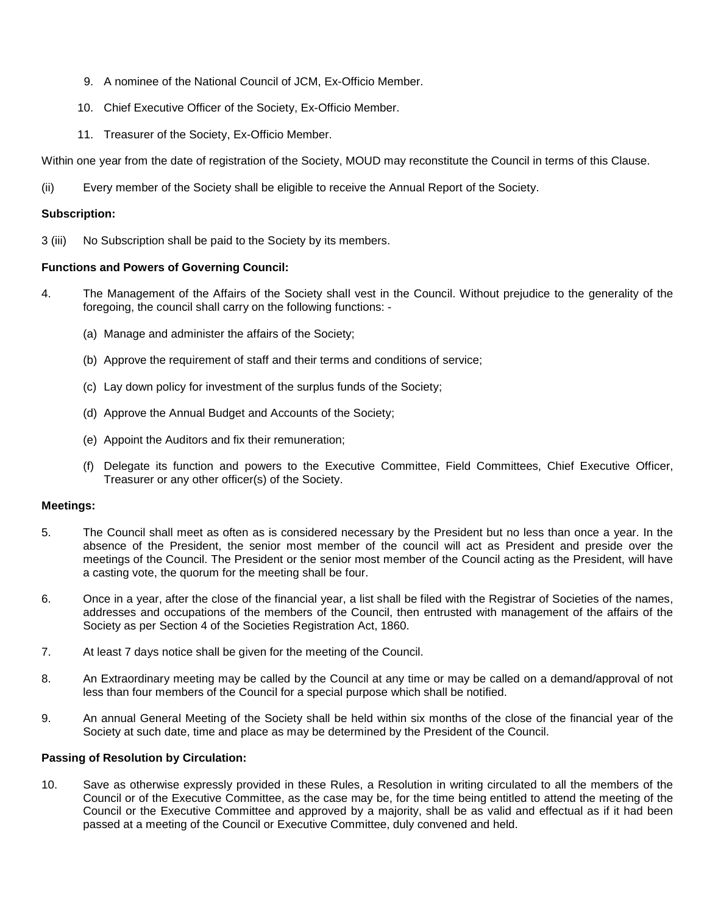- 9. A nominee of the National Council of JCM, Ex-Officio Member.
- 10. Chief Executive Officer of the Society, Ex-Officio Member.
- 11. Treasurer of the Society, Ex-Officio Member.

Within one year from the date of registration of the Society, MOUD may reconstitute the Council in terms of this Clause.

(ii) Every member of the Society shall be eligible to receive the Annual Report of the Society.

# **Subscription:**

3 (iii) No Subscription shall be paid to the Society by its members.

# **Functions and Powers of Governing Council:**

- 4. The Management of the Affairs of the Society shall vest in the Council. Without prejudice to the generality of the foregoing, the council shall carry on the following functions: -
	- (a) Manage and administer the affairs of the Society;
	- (b) Approve the requirement of staff and their terms and conditions of service;
	- (c) Lay down policy for investment of the surplus funds of the Society;
	- (d) Approve the Annual Budget and Accounts of the Society;
	- (e) Appoint the Auditors and fix their remuneration;
	- (f) Delegate its function and powers to the Executive Committee, Field Committees, Chief Executive Officer, Treasurer or any other officer(s) of the Society.

# **Meetings:**

- 5. The Council shall meet as often as is considered necessary by the President but no less than once a year. In the absence of the President, the senior most member of the council will act as President and preside over the meetings of the Council. The President or the senior most member of the Council acting as the President, will have a casting vote, the quorum for the meeting shall be four.
- 6. Once in a year, after the close of the financial year, a list shall be filed with the Registrar of Societies of the names, addresses and occupations of the members of the Council, then entrusted with management of the affairs of the Society as per Section 4 of the Societies Registration Act, 1860.
- 7. At least 7 days notice shall be given for the meeting of the Council.
- 8. An Extraordinary meeting may be called by the Council at any time or may be called on a demand/approval of not less than four members of the Council for a special purpose which shall be notified.
- 9. An annual General Meeting of the Society shall be held within six months of the close of the financial year of the Society at such date, time and place as may be determined by the President of the Council.

# **Passing of Resolution by Circulation:**

10. Save as otherwise expressly provided in these Rules, a Resolution in writing circulated to all the members of the Council or of the Executive Committee, as the case may be, for the time being entitled to attend the meeting of the Council or the Executive Committee and approved by a majority, shall be as valid and effectual as if it had been passed at a meeting of the Council or Executive Committee, duly convened and held.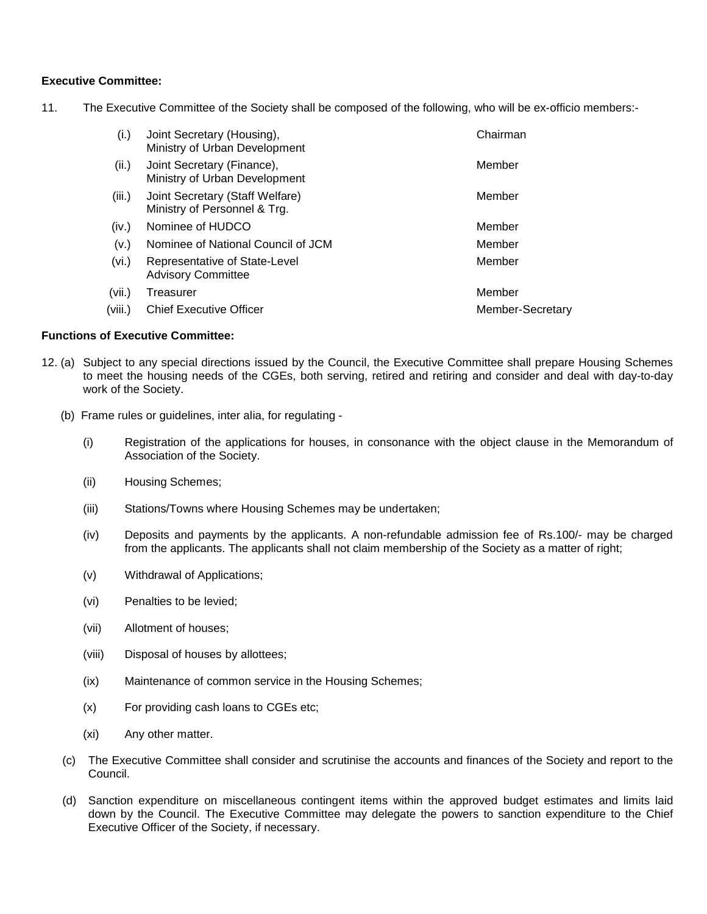# **Executive Committee:**

11. The Executive Committee of the Society shall be composed of the following, who will be ex-officio members:-

| (i.)    | Joint Secretary (Housing),<br>Ministry of Urban Development     | Chairman         |
|---------|-----------------------------------------------------------------|------------------|
| (ii.)   | Joint Secretary (Finance),<br>Ministry of Urban Development     | Member           |
| (iii.)  | Joint Secretary (Staff Welfare)<br>Ministry of Personnel & Trg. | Member           |
| (iv.)   | Nominee of HUDCO                                                | Member           |
| (V.)    | Nominee of National Council of JCM                              | Member           |
| (vi.)   | Representative of State-Level<br><b>Advisory Committee</b>      | Member           |
| (vii.)  | Treasurer                                                       | Member           |
| (viii.) | <b>Chief Executive Officer</b>                                  | Member-Secretary |

# **Functions of Executive Committee:**

- 12. (a) Subject to any special directions issued by the Council, the Executive Committee shall prepare Housing Schemes to meet the housing needs of the CGEs, both serving, retired and retiring and consider and deal with day-to-day work of the Society.
	- (b) Frame rules or guidelines, inter alia, for regulating
		- (i) Registration of the applications for houses, in consonance with the object clause in the Memorandum of Association of the Society.
		- (ii) Housing Schemes;
		- (iii) Stations/Towns where Housing Schemes may be undertaken;
		- (iv) Deposits and payments by the applicants. A non-refundable admission fee of Rs.100/- may be charged from the applicants. The applicants shall not claim membership of the Society as a matter of right;
		- (v) Withdrawal of Applications;
		- (vi) Penalties to be levied;
		- (vii) Allotment of houses;
		- (viii) Disposal of houses by allottees;
		- (ix) Maintenance of common service in the Housing Schemes;
		- (x) For providing cash loans to CGEs etc;
		- (xi) Any other matter.
	- (c) The Executive Committee shall consider and scrutinise the accounts and finances of the Society and report to the Council.
	- (d) Sanction expenditure on miscellaneous contingent items within the approved budget estimates and limits laid down by the Council. The Executive Committee may delegate the powers to sanction expenditure to the Chief Executive Officer of the Society, if necessary.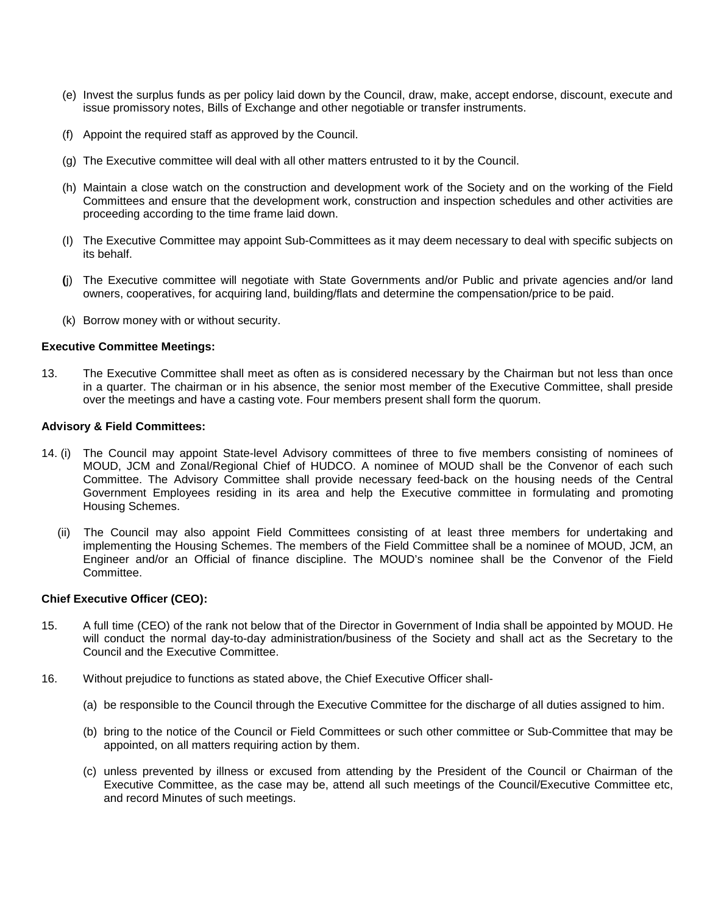- (e) Invest the surplus funds as per policy laid down by the Council, draw, make, accept endorse, discount, execute and issue promissory notes, Bills of Exchange and other negotiable or transfer instruments.
- (f) Appoint the required staff as approved by the Council.
- (g) The Executive committee will deal with all other matters entrusted to it by the Council.
- (h) Maintain a close watch on the construction and development work of the Society and on the working of the Field Committees and ensure that the development work, construction and inspection schedules and other activities are proceeding according to the time frame laid down.
- (I) The Executive Committee may appoint Sub-Committees as it may deem necessary to deal with specific subjects on its behalf.
- **(**j) The Executive committee will negotiate with State Governments and/or Public and private agencies and/or land owners, cooperatives, for acquiring land, building/flats and determine the compensation/price to be paid.
- (k) Borrow money with or without security.

#### **Executive Committee Meetings:**

13. The Executive Committee shall meet as often as is considered necessary by the Chairman but not less than once in a quarter. The chairman or in his absence, the senior most member of the Executive Committee, shall preside over the meetings and have a casting vote. Four members present shall form the quorum.

#### **Advisory & Field Committees:**

- 14. (i) The Council may appoint State-level Advisory committees of three to five members consisting of nominees of MOUD, JCM and Zonal/Regional Chief of HUDCO. A nominee of MOUD shall be the Convenor of each such Committee. The Advisory Committee shall provide necessary feed-back on the housing needs of the Central Government Employees residing in its area and help the Executive committee in formulating and promoting Housing Schemes.
	- (ii) The Council may also appoint Field Committees consisting of at least three members for undertaking and implementing the Housing Schemes. The members of the Field Committee shall be a nominee of MOUD, JCM, an Engineer and/or an Official of finance discipline. The MOUD's nominee shall be the Convenor of the Field Committee.

#### **Chief Executive Officer (CEO):**

- 15. A full time (CEO) of the rank not below that of the Director in Government of India shall be appointed by MOUD. He will conduct the normal day-to-day administration/business of the Society and shall act as the Secretary to the Council and the Executive Committee.
- 16. Without prejudice to functions as stated above, the Chief Executive Officer shall-
	- (a) be responsible to the Council through the Executive Committee for the discharge of all duties assigned to him.
	- (b) bring to the notice of the Council or Field Committees or such other committee or Sub-Committee that may be appointed, on all matters requiring action by them.
	- (c) unless prevented by illness or excused from attending by the President of the Council or Chairman of the Executive Committee, as the case may be, attend all such meetings of the Council/Executive Committee etc, and record Minutes of such meetings.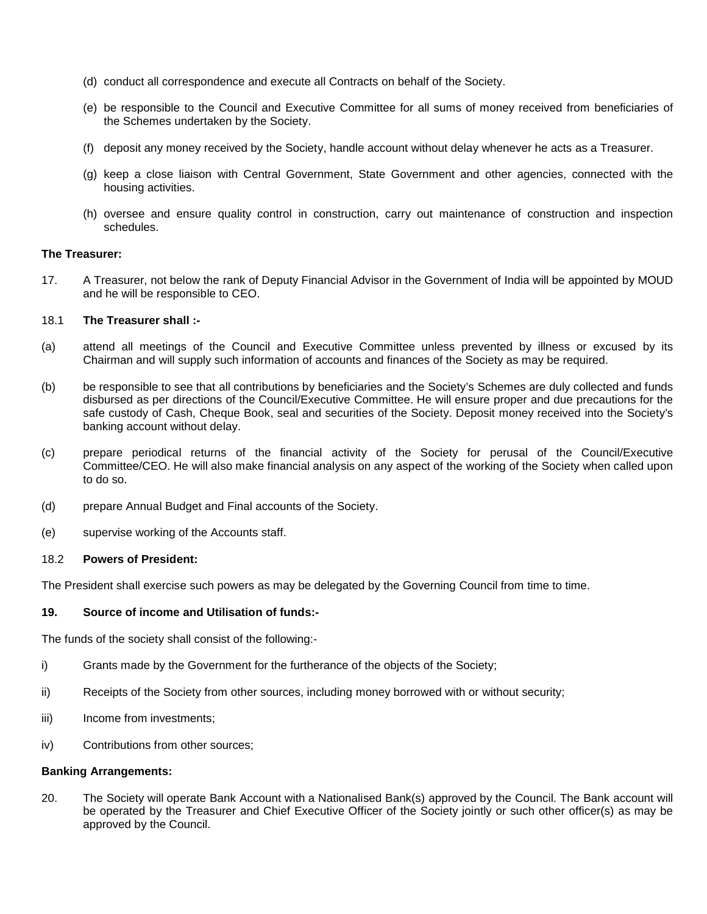- (d) conduct all correspondence and execute all Contracts on behalf of the Society.
- (e) be responsible to the Council and Executive Committee for all sums of money received from beneficiaries of the Schemes undertaken by the Society.
- (f) deposit any money received by the Society, handle account without delay whenever he acts as a Treasurer.
- (g) keep a close liaison with Central Government, State Government and other agencies, connected with the housing activities.
- (h) oversee and ensure quality control in construction, carry out maintenance of construction and inspection schedules.

#### **The Treasurer:**

17. A Treasurer, not below the rank of Deputy Financial Advisor in the Government of India will be appointed by MOUD and he will be responsible to CEO.

#### 18.1 **The Treasurer shall :-**

- (a) attend all meetings of the Council and Executive Committee unless prevented by illness or excused by its Chairman and will supply such information of accounts and finances of the Society as may be required.
- (b) be responsible to see that all contributions by beneficiaries and the Society's Schemes are duly collected and funds disbursed as per directions of the Council/Executive Committee. He will ensure proper and due precautions for the safe custody of Cash, Cheque Book, seal and securities of the Society. Deposit money received into the Society's banking account without delay.
- (c) prepare periodical returns of the financial activity of the Society for perusal of the Council/Executive Committee/CEO. He will also make financial analysis on any aspect of the working of the Society when called upon to do so.
- (d) prepare Annual Budget and Final accounts of the Society.
- (e) supervise working of the Accounts staff.

#### 18.2 **Powers of President:**

The President shall exercise such powers as may be delegated by the Governing Council from time to time.

#### **19. Source of income and Utilisation of funds:-**

The funds of the society shall consist of the following:-

- i) Grants made by the Government for the furtherance of the objects of the Society;
- ii) Receipts of the Society from other sources, including money borrowed with or without security;
- iii) Income from investments;
- iv) Contributions from other sources;

#### **Banking Arrangements:**

20. The Society will operate Bank Account with a Nationalised Bank(s) approved by the Council. The Bank account will be operated by the Treasurer and Chief Executive Officer of the Society jointly or such other officer(s) as may be approved by the Council.